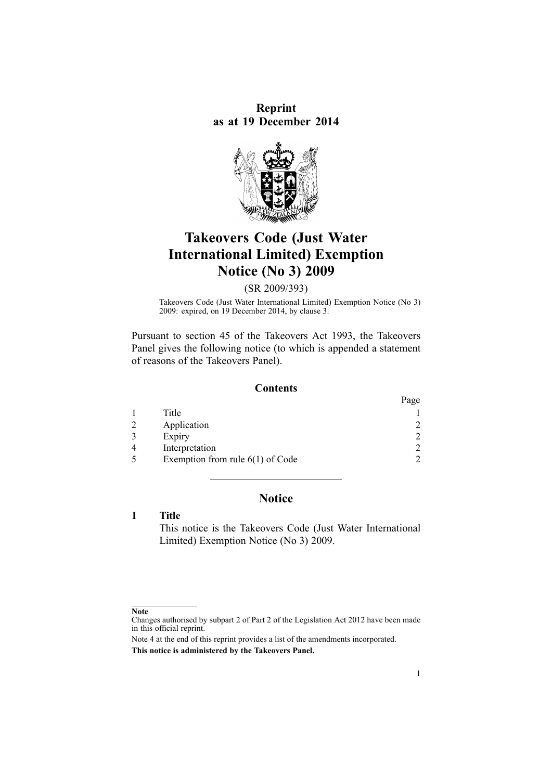**Reprint as at 19 December 2014**



# **Takeovers Code (Just Water International Limited) Exemption Notice (No 3) 2009**

(SR 2009/393)

Takeovers Code (Just Water International Limited) Exemption Notice (No 3) 2009: expired, on 19 December 2014, by [clause](http://www.legislation.govt.nz/pdflink.aspx?id=DLM2646306) 3.

Pursuant to [section](http://www.legislation.govt.nz/pdflink.aspx?id=DLM326754) 45 of the Takeovers Act 1993, the Takeovers Panel gives the following notice (to which is appended <sup>a</sup> [statement](#page-2-0) of [reasons](#page-2-0) of the Takeovers Panel).

#### **Contents**

|                                    | Page          |
|------------------------------------|---------------|
| Title                              |               |
| Application                        | 2             |
| Expiry                             | 2             |
| Interpretation                     | $\mathcal{D}$ |
| Exemption from rule $6(1)$ of Code | っ             |

# **Notice**

# **1 Title**

This notice is the Takeovers Code (Just Water International Limited) Exemption Notice (No 3) 2009.

#### **Note**

Changes authorised by [subpart](http://www.legislation.govt.nz/pdflink.aspx?id=DLM2998524) 2 of Part 2 of the Legislation Act 2012 have been made in this official reprint.

Note 4 at the end of this reprint provides <sup>a</sup> list of the amendments incorporated. **This notice is administered by the Takeovers Panel.**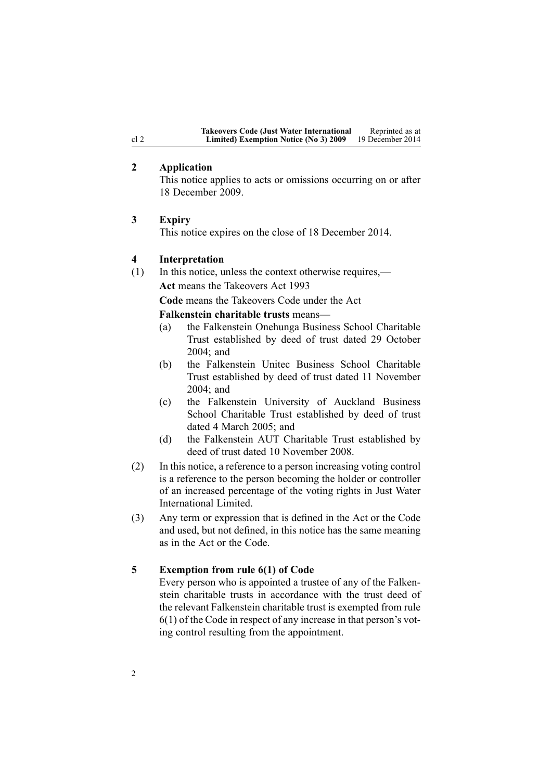| <b>Takeovers Code (Just Water International</b> | Reprinted as at  |
|-------------------------------------------------|------------------|
| Limited) Exemption Notice (No 3) 2009           | 19 December 2014 |

# **2 Application**

This notice applies to acts or omissions occurring on or after 18 December 2009.

#### **3 Expiry**

This notice expires on the close of 18 December 2014.

# **4 Interpretation**

(1) In this notice, unless the context otherwise requires,— **Act** means the [Takeovers](http://www.legislation.govt.nz/pdflink.aspx?id=DLM325508) Act 1993

**Code** means the [Takeovers](http://www.legislation.govt.nz/pdflink.aspx?id=DLM10100) Code under the [Act](http://www.legislation.govt.nz/pdflink.aspx?id=DLM325508)

**Falkenstein charitable trusts** means—

- (a) the Falkenstein Onehunga Business School Charitable Trust established by deed of trust dated 29 October 2004; and
- (b) the Falkenstein Unitec Business School Charitable Trust established by deed of trust dated 11 November 2004; and
- (c) the Falkenstein University of Auckland Business School Charitable Trust established by deed of trust dated 4 March 2005; and
- (d) the Falkenstein AUT Charitable Trust established by deed of trust dated 10 November 2008.
- (2) In this notice, <sup>a</sup> reference to <sup>a</sup> person increasing voting control is <sup>a</sup> reference to the person becoming the holder or controller of an increased percentage of the voting rights in Just Water International Limited.
- (3) Any term or expression that is defined in the [Act](http://www.legislation.govt.nz/pdflink.aspx?id=DLM325508) or the [Code](http://www.legislation.govt.nz/pdflink.aspx?id=DLM10100) and used, but not defined, in this notice has the same meaning as in the Act or the Code.

#### **5 Exemption from rule 6(1) of Code**

Every person who is appointed <sup>a</sup> trustee of any of the Falkenstein charitable trusts in accordance with the trust deed of the relevant Falkenstein charitable trust is exempted from [rule](http://www.legislation.govt.nz/pdflink.aspx?id=DLM10310) [6\(1\)](http://www.legislation.govt.nz/pdflink.aspx?id=DLM10310) of the Code in respec<sup>t</sup> of any increase in that person's voting control resulting from the appointment.

<span id="page-1-0"></span>cl 2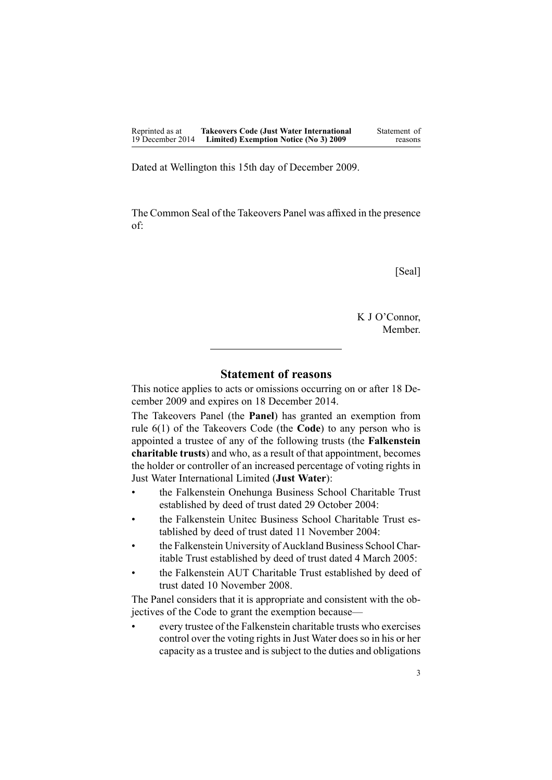<span id="page-2-0"></span>Dated at Wellington this 15th day of December 2009.

The Common Seal of the Takeovers Panel was affixed in the presence of:

[Seal]

K J O'Connor, Member.

# **Statement of reasons**

This notice applies to acts or omissions occurring on or after 18 December 2009 and expires on 18 December 2014.

The Takeovers Panel (the **Panel**) has granted an exemption from rule [6\(1\)](http://www.legislation.govt.nz/pdflink.aspx?id=DLM10310) of the Takeovers Code (the **Code**) to any person who is appointed <sup>a</sup> trustee of any of the following trusts (the **Falkenstein charitable trusts**) and who, as <sup>a</sup> result of that appointment, becomes the holder or controller of an increased percentage of voting rights in Just Water International Limited (**Just Water**):

- • the Falkenstein Onehunga Business School Charitable Trust established by deed of trust dated 29 October 2004:
- • the Falkenstein Unitec Business School Charitable Trust established by deed of trust dated 11 November 2004:
- • the Falkenstein University of Auckland Business School Charitable Trust established by deed of trust dated 4 March 2005:
- • the Falkenstein AUT Charitable Trust established by deed of trust dated 10 November 2008.

The Panel considers that it is appropriate and consistent with the objectives of the [Code](http://www.legislation.govt.nz/pdflink.aspx?id=DLM10100) to gran<sup>t</sup> the exemption because—

• every trustee of the Falkenstein charitable trusts who exercises control over the voting rights in Just Water does so in his or her capacity as <sup>a</sup> trustee and issubject to the duties and obligations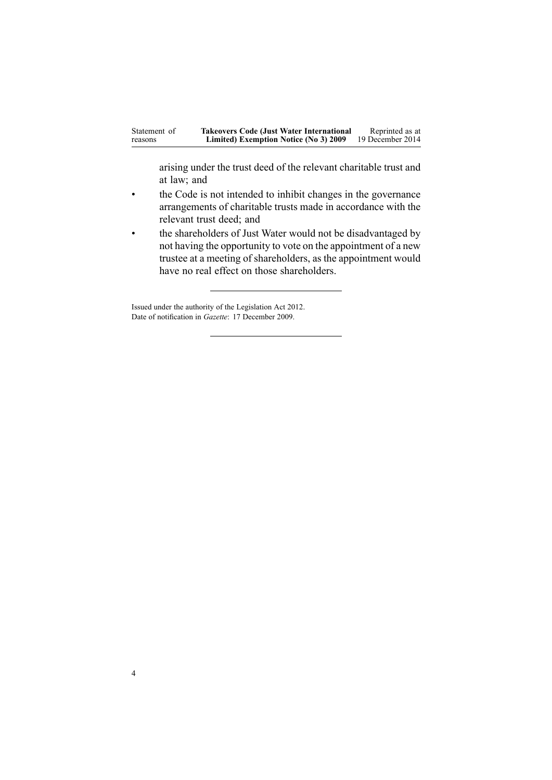| Statement of | <b>Takeovers Code (Just Water International</b> | Reprinted as at  |
|--------------|-------------------------------------------------|------------------|
| reasons      | Limited) Exemption Notice (No 3) 2009           | 19 December 2014 |

arising under the trust deed of the relevant charitable trust and at law; and

- • the [Code](http://www.legislation.govt.nz/pdflink.aspx?id=DLM10100) is not intended to inhibit changes in the governance arrangements of charitable trusts made in accordance with the relevant trust deed; and
- • the shareholders of Just Water would not be disadvantaged by not having the opportunity to vote on the appointment of <sup>a</sup> new trustee at <sup>a</sup> meeting of shareholders, as the appointment would have no real effect on those shareholders.

Issued under the authority of the [Legislation](http://www.legislation.govt.nz/pdflink.aspx?id=DLM2997643) Act 2012. Date of notification in *Gazette*: 17 December 2009.